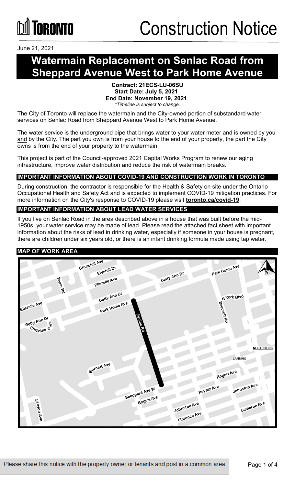# **TORONTO**

June 21, 2021

### **Watermain Replacement on Senlac Road from Sheppard Avenue West to Park Home Avenue**

#### **Contract: 21ECS-LU-06SU Start Date: July 5, 2021 End Date: November 19, 2021** *\*Timeline is subject to change.*

The City of Toronto will replace the watermain and the City-owned portion of substandard water services on Senlac Road from Sheppard Avenue West to Park Home Avenue.

The water service is the underground pipe that brings water to your water meter and is owned by you and by the City. The part you own is from your house to the end of your property, the part the City owns is from the end of your property to the watermain.

This project is part of the Council-approved 2021 Capital Works Program to renew our aging infrastructure, improve water distribution and reduce the risk of watermain breaks.

#### **IMPORTANT INFORMATION ABOUT COVID-19 AND CONSTRUCTION WORK IN TORONTO**

During construction, the contractor is responsible for the Health & Safety on site under the Ontario Occupational Health and Safety Act and is expected to implement COVID-19 mitigation practices. For more information on the City's response to COVID-19 please visit **[toronto.ca/covid-19](http://www.toronto.ca/covid-19)**.

#### **IMPORTANT INFORMATION ABOUT LEAD WATER SERVICES**

If you live on Senlac Road in the area described above in a house that was built before the mid-1950s, your water service may be made of lead. Please read the attached fact sheet with important information about the risks of lead in drinking water, especially if someone in your house is pregnant, there are children under six years old, or there is an infant drinking formula made using tap water.

#### **MAP OF WORK AREA**

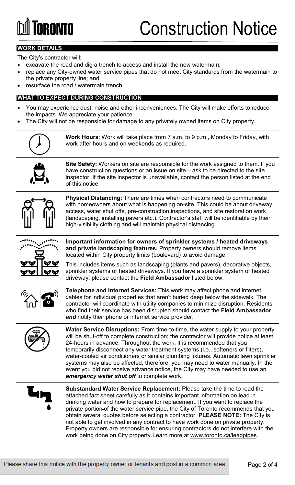# **GRANTA**

### **WORK DETAILS**

The City's contractor will:

- excavate the road and dig a trench to access and install the new watermain;
- replace any City-owned water service pipes that do not meet City standards from the watermain to the private property line; and
- resurface the road / watermain trench.

#### **WHAT TO EXPECT DURING CONSTRUCTION**

- You may experience dust, noise and other inconveniences. The City will make efforts to reduce the impacts. We appreciate your patience.
- The City will not be responsible for damage to any privately owned items on City property.

| <b>Work Hours:</b> Work will take place from 7 a.m. to 9 p.m., Monday to Friday, with<br>work after hours and on weekends as required.                                                                                                                                                                                                                                                                                                                                                                                                                                                                                                                                 |
|------------------------------------------------------------------------------------------------------------------------------------------------------------------------------------------------------------------------------------------------------------------------------------------------------------------------------------------------------------------------------------------------------------------------------------------------------------------------------------------------------------------------------------------------------------------------------------------------------------------------------------------------------------------------|
| Site Safety: Workers on site are responsible for the work assigned to them. If you<br>have construction questions or an issue on site – ask to be directed to the site<br>inspector. If the site inspector is unavailable, contact the person listed at the end<br>of this notice.                                                                                                                                                                                                                                                                                                                                                                                     |
| <b>Physical Distancing:</b> There are times when contractors need to communicate<br>with homeowners about what is happening on-site. This could be about driveway<br>access, water shut offs, pre-construction inspections, and site restoration work<br>(landscaping, installing pavers etc.). Contractor's staff will be identifiable by their<br>high-visibility clothing and will maintain physical distancing.                                                                                                                                                                                                                                                    |
| Important information for owners of sprinkler systems / heated driveways<br>and private landscaping features. Property owners should remove items<br>located within City property limits (boulevard) to avoid damage.                                                                                                                                                                                                                                                                                                                                                                                                                                                  |
| This includes items such as landscaping (plants and pavers), decorative objects,<br>sprinkler systems or heated driveways. If you have a sprinkler system or heated<br>driveway, please contact the Field Ambassador listed below.                                                                                                                                                                                                                                                                                                                                                                                                                                     |
| <b>Telephone and Internet Services:</b> This work may affect phone and internet<br>cables for individual properties that aren't buried deep below the sidewalk. The<br>contractor will coordinate with utility companies to minimize disruption. Residents<br>who find their service has been disrupted should contact the Field Ambassador<br>and notify their phone or internet service provider.                                                                                                                                                                                                                                                                    |
| <b>Water Service Disruptions:</b> From time-to-time, the water supply to your property<br>will be shut-off to complete construction; the contractor will provide notice at least<br>24-hours in advance. Throughout the work, it is recommended that you<br>temporarily disconnect any water treatment systems (i.e., softeners or filters),<br>water-cooled air conditioners or similar plumbing fixtures. Automatic lawn sprinkler<br>systems may also be affected, therefore, you may need to water manually. In the<br>event you did not receive advance notice, the City may have needed to use an<br>emergency water shut off to complete work.                  |
| Substandard Water Service Replacement: Please take the time to read the<br>attached fact sheet carefully as it contains important information on lead in<br>drinking water and how to prepare for replacement. If you want to replace the<br>private portion-of the water service pipe, the City of Toronto recommends that you<br>obtain several quotes before selecting a contractor. PLEASE NOTE: The City is<br>not able to get involved in any contract to have work done on private property.<br>Property owners are responsible for ensuring contractors do not interfere with the<br>work being done on City property. Learn more at www.toronto.ca/leadpipes. |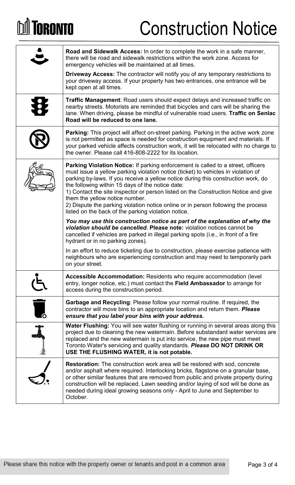## **DA TORONTO**

## Construction Notice

|                      | <b>Road and Sidewalk Access:</b> In order to complete the work in a safe manner,<br>there will be road and sidewalk restrictions within the work zone. Access for<br>emergency vehicles will be maintained at all times.                                                                                                                                                                                                                                                                                                                                                                  |
|----------------------|-------------------------------------------------------------------------------------------------------------------------------------------------------------------------------------------------------------------------------------------------------------------------------------------------------------------------------------------------------------------------------------------------------------------------------------------------------------------------------------------------------------------------------------------------------------------------------------------|
|                      | Driveway Access: The contractor will notify you of any temporary restrictions to<br>your driveway access. If your property has two entrances, one entrance will be<br>kept open at all times.                                                                                                                                                                                                                                                                                                                                                                                             |
|                      | <b>Traffic Management:</b> Road users should expect delays and increased traffic on<br>nearby streets. Motorists are reminded that bicycles and cars will be sharing the<br>lane. When driving, please be mindful of vulnerable road users. Traffic on Senlac<br>Road will be reduced to one lane.                                                                                                                                                                                                                                                                                        |
|                      | <b>Parking:</b> This project will affect on-street parking. Parking in the active work zone<br>is not permitted as space is needed for construction equipment and materials. If<br>your parked vehicle affects construction work, it will be relocated with no charge to<br>the owner. Please call 416-808-2222 for its location.                                                                                                                                                                                                                                                         |
|                      | <b>Parking Violation Notice:</b> If parking enforcement is called to a street, officers<br>must issue a yellow parking violation notice (ticket) to vehicles in violation of<br>parking by-laws. If you receive a yellow notice during this construction work, do<br>the following within 15 days of the notice date:<br>1) Contact the site inspector or person listed on the Construction Notice and give<br>them the yellow notice number.<br>2) Dispute the parking violation notice online or in person following the process<br>listed on the back of the parking violation notice. |
|                      | You may use this construction notice as part of the explanation of why the<br>violation should be cancelled. Please note: violation notices cannot be<br>cancelled if vehicles are parked in illegal parking spots (i.e., in front of a fire<br>hydrant or in no parking zones).                                                                                                                                                                                                                                                                                                          |
|                      | In an effort to reduce ticketing due to construction, please exercise patience with<br>neighbours who are experiencing construction and may need to temporarily park<br>on your street.                                                                                                                                                                                                                                                                                                                                                                                                   |
|                      | <b>Accessible Accommodation: Residents who require accommodation (level)</b><br>entry, longer notice, etc.) must contact the Field Ambassador to arrange for<br>access during the construction period.                                                                                                                                                                                                                                                                                                                                                                                    |
| $\overline{\bullet}$ | <b>Garbage and Recycling: Please follow your normal routine. If required, the</b><br>contractor will move bins to an appropriate location and return them. Please<br>ensure that you label your bins with your address.                                                                                                                                                                                                                                                                                                                                                                   |
| J                    | Water Flushing: You will see water flushing or running in several areas along this<br>project due to cleaning the new watermain. Before substandard water services are<br>replaced and the new watermain is put into service, the new pipe must meet<br>Toronto Water's servicing and quality standards. Please DO NOT DRINK OR<br>USE THE FLUSHING WATER, it is not potable.                                                                                                                                                                                                             |
|                      | <b>Restoration:</b> The construction work area will be restored with sod, concrete<br>and/or asphalt where required. Interlocking bricks, flagstone on a granular base,<br>or other similar features that are removed from public and private property during<br>construction will be replaced. Lawn seeding and/or laying of sod will be done as<br>needed during ideal growing seasons only - April to June and September to<br>October.                                                                                                                                                |